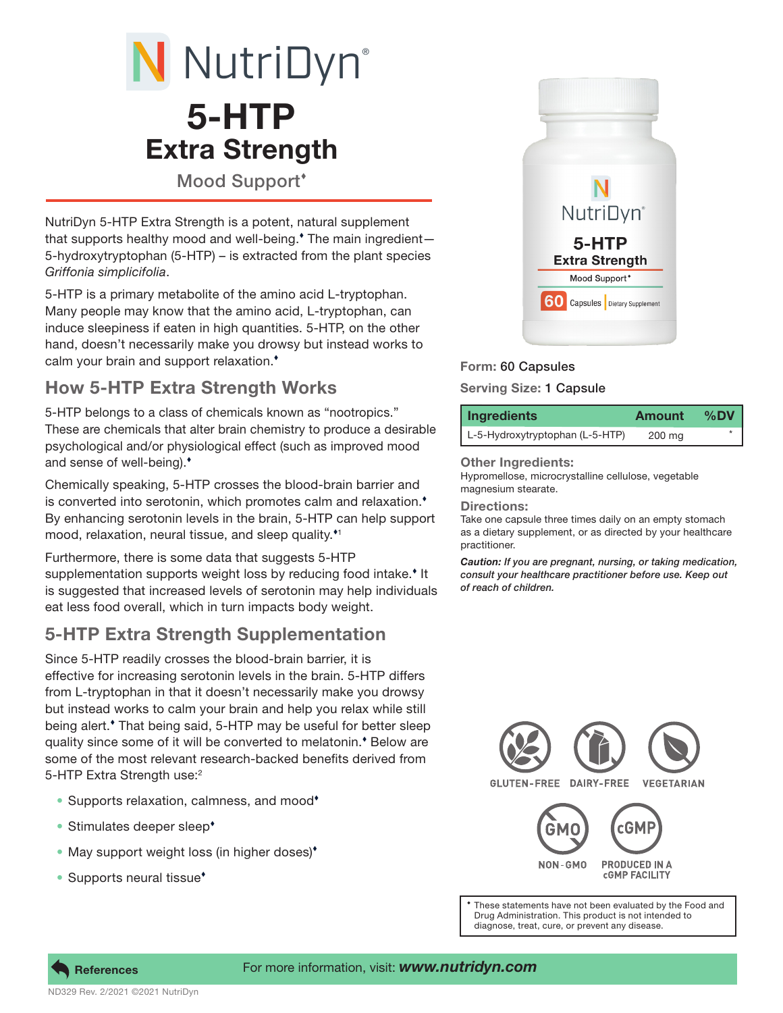# 5-HTP Extra Strength N NutriDyn®

Mood Support'

NutriDyn 5-HTP Extra Strength is a potent, natural supplement that supports healthy mood and well-being. The main ingredient— 5-hydroxytryptophan (5-HTP) – is extracted from the plant species *Griffonia simplicifolia*.

5-HTP is a primary metabolite of the amino acid L-tryptophan. Many people may know that the amino acid, L-tryptophan, can induce sleepiness if eaten in high quantities. 5-HTP, on the other hand, doesn't necessarily make you drowsy but instead works to calm your brain and support relaxation.

# How 5-HTP Extra Strength Works

5-HTP belongs to a class of chemicals known as "nootropics." These are chemicals that alter brain chemistry to produce a desirable psychological and/or physiological effect (such as improved mood and sense of well-being).

Chemically speaking, 5-HTP crosses the blood-brain barrier and is converted into serotonin, which promotes calm and relaxation. By enhancing serotonin levels in the brain, 5-HTP can help support mood, relaxation, neural tissue, and sleep quality.<sup>\*1</sup>

Furthermore, there is some data that suggests 5-HTP supplementation supports weight loss by reducing food intake.<sup>\*</sup> It is suggested that increased levels of serotonin may help individuals eat less food overall, which in turn impacts body weight.

## 5-HTP Extra Strength Supplementation

Since 5-HTP readily crosses the blood-brain barrier, it is effective for increasing serotonin levels in the brain. 5-HTP differs from L-tryptophan in that it doesn't necessarily make you drowsy but instead works to calm your brain and help you relax while still being alert. That being said, 5-HTP may be useful for better sleep quality since some of it will be converted to melatonin.<sup>\*</sup> Below are some of the most relevant research-backed benefits derived from 5-HTP Extra Strength use:<sup>2</sup>

- Supports relaxation, calmness, and mood
- Stimulates deeper sleep<sup>+</sup>
- May support weight loss (in higher doses)<sup>\*</sup>
- Supports neural tissue<sup>\*</sup>



## Form: 60 Capsules

Serving Size: 1 Capsule

| Ingredients                     | Amount | %DV |
|---------------------------------|--------|-----|
| L-5-Hydroxytryptophan (L-5-HTP) | 200 mg |     |

Other Ingredients:

Hypromellose, microcrystalline cellulose, vegetable magnesium stearate.

Directions:

Take one capsule three times daily on an empty stomach as a dietary supplement, or as directed by your healthcare practitioner.

*Caution: If you are pregnant, nursing, or taking medication, consult your healthcare practitioner before use. Keep out of reach of children.*



Drug Administration. This product is not intended to diagnose, treat, cure, or prevent any disease.



### For more information, visit: *www.nutridyn.com*

ND329 Rev. 2/2021 ©2021 NutriDyn